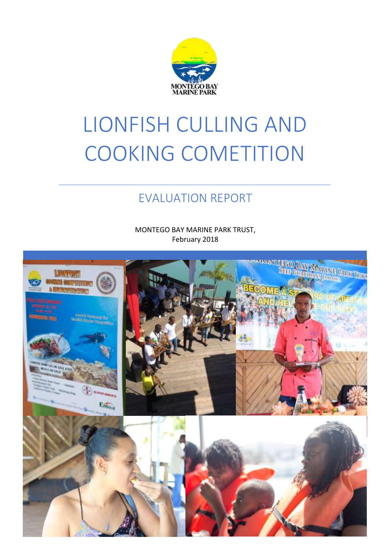

# LIONFISH CULLING AND COOKING COMETITION

## EVALUATION REPORT

MONTEGO BAY MARINE PARK TRUST, February 2018

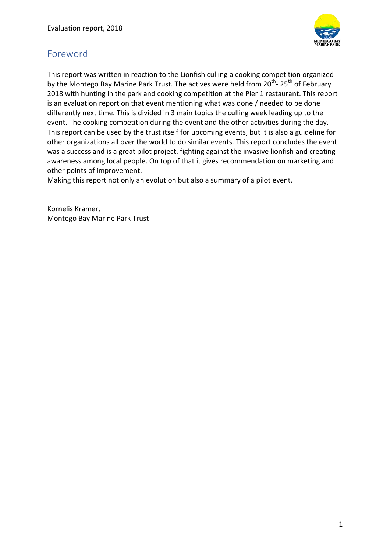

#### <span id="page-1-0"></span>Foreword

This report was written in reaction to the Lionfish culling a cooking competition organized by the Montego Bay Marine Park Trust. The actives were held from 20<sup>th</sup>- 25<sup>th</sup> of February 2018 with hunting in the park and cooking competition at the Pier 1 restaurant. This report is an evaluation report on that event mentioning what was done / needed to be done differently next time. This is divided in 3 main topics the culling week leading up to the event. The cooking competition during the event and the other activities during the day. This report can be used by the trust itself for upcoming events, but it is also a guideline for other organizations all over the world to do similar events. This report concludes the event was a success and is a great pilot project. fighting against the invasive lionfish and creating awareness among local people. On top of that it gives recommendation on marketing and other points of improvement.

Making this report not only an evolution but also a summary of a pilot event.

Kornelis Kramer, Montego Bay Marine Park Trust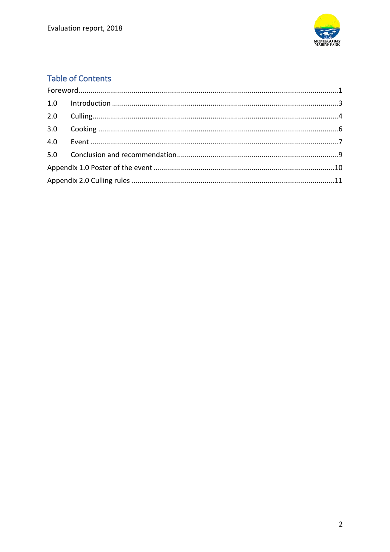

### **Table of Contents**

| 2.0 |  |  |
|-----|--|--|
| 3.0 |  |  |
|     |  |  |
|     |  |  |
|     |  |  |
|     |  |  |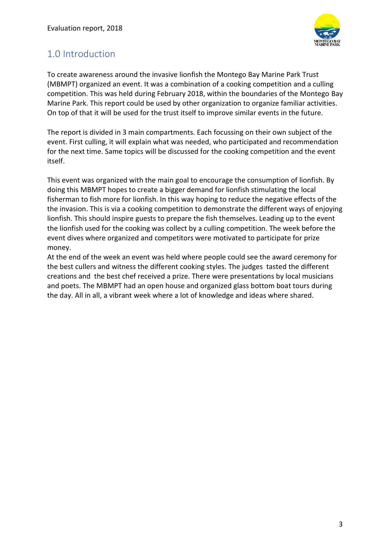

#### <span id="page-3-0"></span>1.0 Introduction

To create awareness around the invasive lionfish the Montego Bay Marine Park Trust (MBMPT) organized an event. It was a combination of a cooking competition and a culling competition. This was held during February 2018, within the boundaries of the Montego Bay Marine Park. This report could be used by other organization to organize familiar activities. On top of that it will be used for the trust itself to improve similar events in the future.

The report is divided in 3 main compartments. Each focussing on their own subject of the event. First culling, it will explain what was needed, who participated and recommendation for the next time. Same topics will be discussed for the cooking competition and the event itself.

This event was organized with the main goal to encourage the consumption of lionfish. By doing this MBMPT hopes to create a bigger demand for lionfish stimulating the local fisherman to fish more for lionfish. In this way hoping to reduce the negative effects of the the invasion. This is via a cooking competition to demonstrate the different ways of enjoying lionfish. This should inspire guests to prepare the fish themselves. Leading up to the event the lionfish used for the cooking was collect by a culling competition. The week before the event dives where organized and competitors were motivated to participate for prize money.

At the end of the week an event was held where people could see the award ceremony for the best cullers and witness the different cooking styles. The judges tasted the different creations and the best chef received a prize. There were presentations by local musicians and poets. The MBMPT had an open house and organized glass bottom boat tours during the day. All in all, a vibrant week where a lot of knowledge and ideas where shared.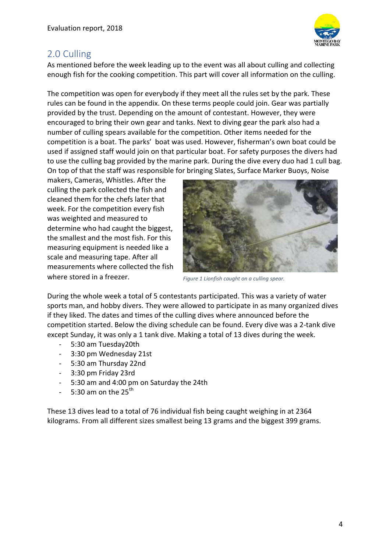

#### <span id="page-4-0"></span>2.0 Culling

As mentioned before the week leading up to the event was all about culling and collecting enough fish for the cooking competition. This part will cover all information on the culling.

The competition was open for everybody if they meet all the rules set by the park. These rules can be found in the appendix. On these terms people could join. Gear was partially provided by the trust. Depending on the amount of contestant. However, they were encouraged to bring their own gear and tanks. Next to diving gear the park also had a number of culling spears available for the competition. Other items needed for the competition is a boat. The parks' boat was used. However, fisherman's own boat could be used if assigned staff would join on that particular boat. For safety purposes the divers had to use the culling bag provided by the marine park. During the dive every duo had 1 cull bag. On top of that the staff was responsible for bringing Slates, Surface Marker Buoys, Noise

makers, Cameras, Whistles. After the culling the park collected the fish and cleaned them for the chefs later that week. For the competition every fish was weighted and measured to determine who had caught the biggest, the smallest and the most fish. For this measuring equipment is needed like a scale and measuring tape. After all measurements where collected the fish where stored in a freezer.



*Figure 1 Lionfish caught on a culling spear.*

During the whole week a total of 5 contestants participated. This was a variety of water sports man, and hobby divers. They were allowed to participate in as many organized dives if they liked. The dates and times of the culling dives where announced before the competition started. Below the diving schedule can be found. Every dive was a 2-tank dive except Sunday, it was only a 1 tank dive. Making a total of 13 dives during the week.

- 5:30 am Tuesday20th
- 3:30 pm Wednesday 21st
- 5:30 am Thursday 22nd
- 3:30 pm Friday 23rd
- 5:30 am and 4:00 pm on Saturday the 24th
- 5:30 am on the  $25<sup>th</sup>$

These 13 dives lead to a total of 76 individual fish being caught weighing in at 2364 kilograms. From all different sizes smallest being 13 grams and the biggest 399 grams.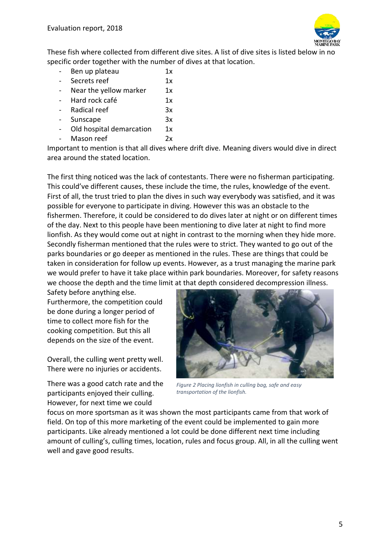

These fish where collected from different dive sites. A list of dive sites is listed below in no specific order together with the number of dives at that location.

- Ben up plateau 1x - Secrets reef 1x - Near the yellow marker 1x - Hard rock café 1x Radical reef 3x - Sunscape 3x - Old hospital demarcation 1x Mason reef 2x

Important to mention is that all dives where drift dive. Meaning divers would dive in direct area around the stated location.

The first thing noticed was the lack of contestants. There were no fisherman participating. This could've different causes, these include the time, the rules, knowledge of the event. First of all, the trust tried to plan the dives in such way everybody was satisfied, and it was possible for everyone to participate in diving. However this was an obstacle to the fishermen. Therefore, it could be considered to do dives later at night or on different times of the day. Next to this people have been mentioning to dive later at night to find more lionfish. As they would come out at night in contrast to the morning when they hide more. Secondly fisherman mentioned that the rules were to strict. They wanted to go out of the parks boundaries or go deeper as mentioned in the rules. These are things that could be taken in consideration for follow up events. However, as a trust managing the marine park we would prefer to have it take place within park boundaries. Moreover, for safety reasons we choose the depth and the time limit at that depth considered decompression illness.

Safety before anything else. Furthermore, the competition could be done during a longer period of time to collect more fish for the cooking competition. But this all depends on the size of the event.

Overall, the culling went pretty well. There were no injuries or accidents.

There was a good catch rate and the participants enjoyed their culling. However, for next time we could



*Figure 2 Placing lionfish in culling bag, safe and easy transportation of the lionfish.* 

focus on more sportsman as it was shown the most participants came from that work of field. On top of this more marketing of the event could be implemented to gain more participants. Like already mentioned a lot could be done different next time including amount of culling's, culling times, location, rules and focus group. All, in all the culling went well and gave good results.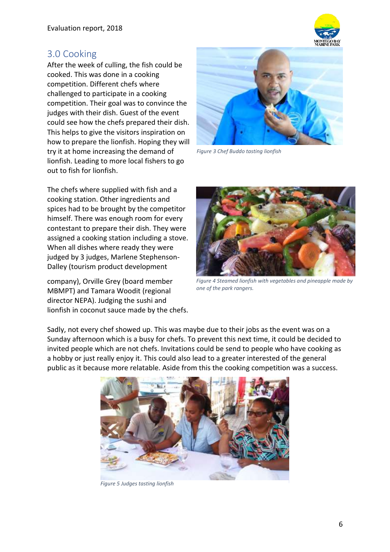![](_page_6_Picture_1.jpeg)

#### <span id="page-6-0"></span>3.0 Cooking

After the week of culling, the fish could be cooked. This was done in a cooking competition. Different chefs where challenged to participate in a cooking competition. Their goal was to convince the judges with their dish. Guest of the event could see how the chefs prepared their dish. This helps to give the visitors inspiration on how to prepare the lionfish. Hoping they will try it at home increasing the demand of lionfish. Leading to more local fishers to go out to fish for lionfish.

The chefs where supplied with fish and a cooking station. Other ingredients and spices had to be brought by the competitor himself. There was enough room for every contestant to prepare their dish. They were assigned a cooking station including a stove. When all dishes where ready they were judged by 3 judges, Marlene Stephenson-Dalley (tourism product development

company), Orville Grey (board member MBMPT) and Tamara Woodit (regional director NEPA). Judging the sushi and lionfish in coconut sauce made by the chefs.

![](_page_6_Picture_6.jpeg)

*Figure 3 Chef Buddo tasting lionfish*

![](_page_6_Picture_8.jpeg)

*Figure 4 Steamed lionfish with vegetables and pineapple made by one of the park rangers.* 

Sadly, not every chef showed up. This was maybe due to their jobs as the event was on a Sunday afternoon which is a busy for chefs. To prevent this next time, it could be decided to invited people which are not chefs. Invitations could be send to people who have cooking as a hobby or just really enjoy it. This could also lead to a greater interested of the general public as it because more relatable. Aside from this the cooking competition was a success.

![](_page_6_Picture_11.jpeg)

*Figure 5 Judges tasting lionfish*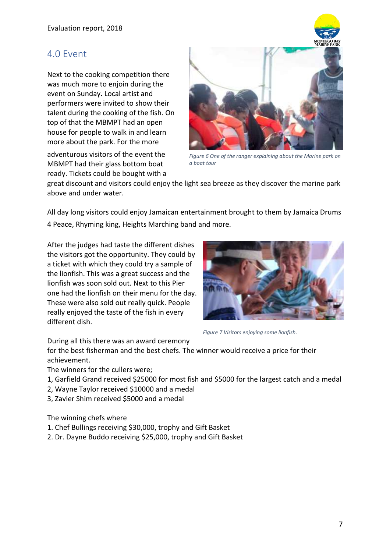#### <span id="page-7-0"></span>4.0 Event

Next to the cooking competition there was much more to enjoin during the event on Sunday. Local artist and performers were invited to show their talent during the cooking of the fish. On top of that the MBMPT had an open house for people to walk in and learn more about the park. For the more

adventurous visitors of the event the MBMPT had their glass bottom boat ready. Tickets could be bought with a

![](_page_7_Picture_4.jpeg)

*Figure 6 One of the ranger explaining about the Marine park on a boat tour*

great discount and visitors could enjoy the light sea breeze as they discover the marine park above and under water.

All day long visitors could enjoy Jamaican entertainment brought to them by Jamaica Drums 4 Peace, Rhyming king, Heights Marching band and more.

After the judges had taste the different dishes the visitors got the opportunity. They could by a ticket with which they could try a sample of the lionfish. This was a great success and the lionfish was soon sold out. Next to this Pier one had the lionfish on their menu for the day. These were also sold out really quick. People really enjoyed the taste of the fish in every different dish.

![](_page_7_Picture_9.jpeg)

*Figure 7 Visitors enjoying some lionfish.*

During all this there was an award ceremony

for the best fisherman and the best chefs. The winner would receive a price for their achievement.

The winners for the cullers were;

- 1, Garfield Grand received \$25000 for most fish and \$5000 for the largest catch and a medal
- 2, Wayne Taylor received \$10000 and a medal
- 3, Zavier Shim received \$5000 and a medal

The winning chefs where

- 1. Chef Bullings receiving \$30,000, trophy and Gift Basket
- 2. Dr. Dayne Buddo receiving \$25,000, trophy and Gift Basket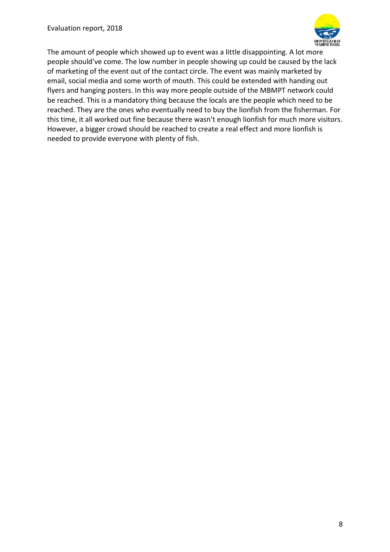![](_page_8_Picture_1.jpeg)

The amount of people which showed up to event was a little disappointing. A lot more people should've come. The low number in people showing up could be caused by the lack of marketing of the event out of the contact circle. The event was mainly marketed by email, social media and some worth of mouth. This could be extended with handing out flyers and hanging posters. In this way more people outside of the MBMPT network could be reached. This is a mandatory thing because the locals are the people which need to be reached. They are the ones who eventually need to buy the lionfish from the fisherman. For this time, it all worked out fine because there wasn't enough lionfish for much more visitors. However, a bigger crowd should be reached to create a real effect and more lionfish is needed to provide everyone with plenty of fish.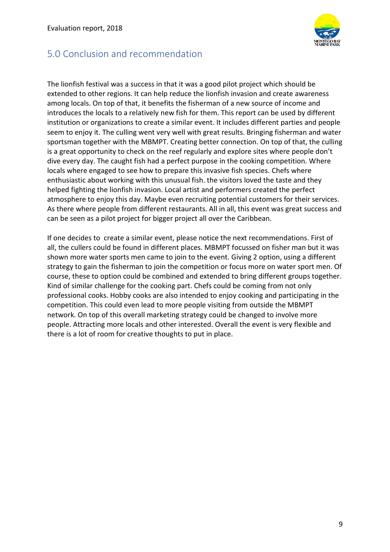![](_page_9_Picture_1.jpeg)

#### <span id="page-9-0"></span>5.0 Conclusion and recommendation

The lionfish festival was a success in that it was a good pilot project which should be extended to other regions. It can help reduce the lionfish invasion and create awareness among locals. On top of that, it benefits the fisherman of a new source of income and introduces the locals to a relatively new fish for them. This report can be used by different institution or organizations to create a similar event. It includes different parties and people seem to enjoy it. The culling went very well with great results. Bringing fisherman and water sportsman together with the MBMPT. Creating better connection. On top of that, the culling is a great opportunity to check on the reef regularly and explore sites where people don't dive every day. The caught fish had a perfect purpose in the cooking competition. Where locals where engaged to see how to prepare this invasive fish species. Chefs where enthusiastic about working with this unusual fish. the visitors loved the taste and they helped fighting the lionfish invasion. Local artist and performers created the perfect atmosphere to enjoy this day. Maybe even recruiting potential customers for their services. As there where people from different restaurants. All in all, this event was great success and can be seen as a pilot project for bigger project all over the Caribbean.

If one decides to create a similar event, please notice the next recommendations. First of all, the cullers could be found in different places. MBMPT focussed on fisher man but it was shown more water sports men came to join to the event. Giving 2 option, using a different strategy to gain the fisherman to join the competition or focus more on water sport men. Of course, these to option could be combined and extended to bring different groups together. Kind of similar challenge for the cooking part. Chefs could be coming from not only professional cooks. Hobby cooks are also intended to enjoy cooking and participating in the competition. This could even lead to more people visiting from outside the MBMPT network. On top of this overall marketing strategy could be changed to involve more people. Attracting more locals and other interested. Overall the event is very flexible and there is a lot of room for creative thoughts to put in place.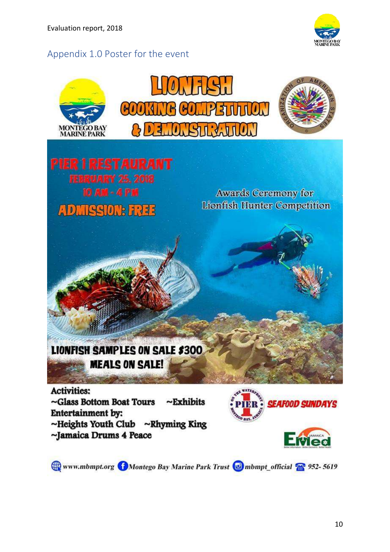<span id="page-10-0"></span>![](_page_10_Picture_1.jpeg)

![](_page_10_Picture_2.jpeg)

![](_page_10_Picture_3.jpeg)

Www.mbmpt.org Montego Bay Marine Park Trust in mbmpt\_official 2 952-5619